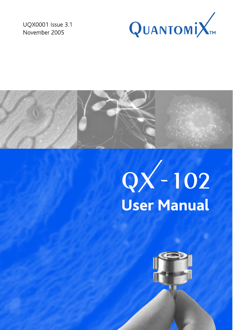UQX0001 Issue 3.1 November 2005





# $QX - 102$ <br>User Manual

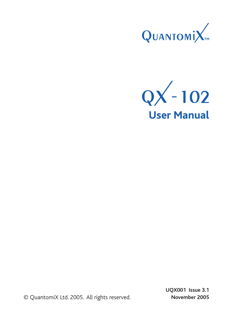



© QuantomiX Ltd. 2005. All rights reserved.

 **UQX001 Issue 3.1 November 2005**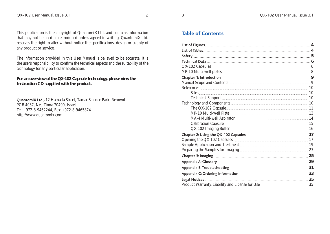This publication is the copyright of QuantomiX Ltd. and contains information that may not be used or reproduced unless agreed in writing. QuantomiX Ltd. reserves the right to alter without notice the specifications, design or supply of any product or service.

The information provided in this User Manual is believed to be accurate. It is the user's responsibility to confirm the technical aspects and the suitability of the technology for any particular application.

#### **For an overview of the QX-102 Capsule technology, please view the Instruction CD supplied with the product.**

**QuantomiX Ltd.,** 12 Hamada Street, Tamar Science Park, Rehovot POB 4037, Nes-Ziona 70400, Israel Tel: +972-8-9462244, Fax: +972-8-9465874 http://www.quantomix.com

## **Table of Contents**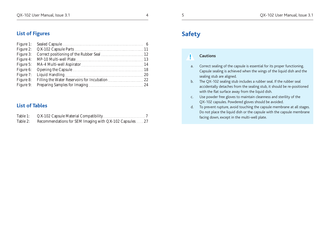## **List of Tables**

| Table 1: |                                                          |  |
|----------|----------------------------------------------------------|--|
| Table 2: | Recommendations for SEM Imaging with QX-102 Capsules  27 |  |

## **Safety**

**!**

## **Cautions**

- a. Correct sealing of the capsule is essential for its proper functioning. Capsule sealing is achieved when the wings of the liquid dish and the sealing stub are aligned.
- b. The QX-102 sealing stub includes a rubber seal. If the rubber seal accidentally detaches from the sealing stub, it should be re-positioned with the flat surface away from the liquid dish.
- c. Use powder free gloves to maintain cleanness and sterility of the QX-102 capsules. Powdered gloves should be avoided.
- d. To prevent rupture, avoid touching the capsule membrane at all stages. Do not place the liquid dish or the capsule with the capsule membrane facing down, except in the multi-well plate.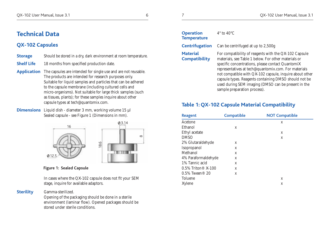## **Technical Data**

## **QX-102 Capsules**

- **Storage** Should be stored in a dry, dark environment at room temperature.
- **Shelf Life** 18 months from specified production date.
- **Application** The capsules are intended for single use and are not reusable. The products are intended for research purposes only. Suitable for liquid samples and particles that can be adhered to the capsule membrane (including cultured cells and micro-organisms). Not suitable for large thick samples (such as tissues, plants); for these samples inquire about other capsule types at tech@quantomix.com.
- **Dimensions** Liquid dish diameter 3 mm, working volume 15 µl Sealed capsule - see Figure 1 (Dimensions in mm).



**Figure 1: Sealed Capsule**

 In cases where the QX-102 capsule does not fit your SEM stage, inquire for available adaptors.

## **Sterility** Gamma-sterilized.

 Opening of the packaging should be done in a sterile environment (laminar flow). Opened packages should be stored under sterile conditions.

| <b>Operation</b><br><b>Temperature</b>  | $4^{\circ}$ to $40^{\circ}$ C                                                |
|-----------------------------------------|------------------------------------------------------------------------------|
|                                         | <b>Centrifugation</b> Can be centrifuged at up to 2,500g                     |
| <b>Material</b><br><b>Compatibility</b> | For compatibility of reagents with t<br>materials, see Table 1 below For otl |

For compatibility of reagents with the QX-102 Capsule **Compatibility** materials, see Table 1 below. For other materials or specific concentrations, please contact QuantomiX representatives at tech@quantomix.com. For materials not compatible with QX-102 capsule, inquire about other capsule types. Reagents containing DMSO should not be used during SEM imaging (DMSO can be present in the sample preparation process).

## **Table 1: QX-102 Capsule Material Compatibility**

| <b>Reagent</b>        | <b>Compatible</b> | <b>NOT Compatible</b> |
|-----------------------|-------------------|-----------------------|
| Acetone               |                   | X                     |
| Ethanol               | X                 |                       |
| Ethyl acetate         |                   | X                     |
| <b>DMSO</b>           |                   | X                     |
| 2% Glutaraldehyde     | X                 |                       |
| Isopropanol           | X                 |                       |
| Methanol              | X                 |                       |
| 4% Paraformaldehyde   | X                 |                       |
| 1% Tannic acid        | X                 |                       |
| $0.5\%$ Triton® X-100 | X                 |                       |
| $0.5\%$ Tween® 20     | X                 |                       |
| Toluene               |                   | X                     |
| Xylene                |                   | X                     |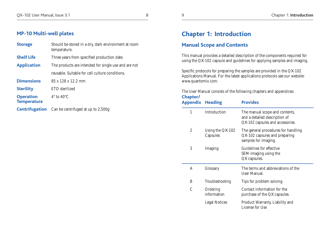## **MP-10 Multi-well plates**

| <b>Storage</b>                                                   | Should be stored in a dry, dark environment at room<br>temperature. |  |
|------------------------------------------------------------------|---------------------------------------------------------------------|--|
| <b>Shelf Life</b><br>Three years from specified production date. |                                                                     |  |
| <b>Application</b>                                               | The products are intended for single use and are not                |  |
|                                                                  | reusable. Suitable for cell culture conditions.                     |  |
| <b>Dimensions</b>                                                | 85 x 128 x 12.2 mm                                                  |  |
| <b>Sterility</b>                                                 | ETO sterilized                                                      |  |
| <b>Operation</b><br><b>Temperature</b>                           | $4^{\circ}$ to $40^{\circ}$ C                                       |  |
|                                                                  | <b>Centrifugation</b> Can be centrifuged at up to 2,500g            |  |

# **Chapter 1: Introduction**

## **Manual Scope and Contents**

This manual provides a detailed description of the components required for using the QX-102 capsule and guidelines for applying samples and imaging.

Specific protocols for preparing the samples are provided in the QX-102 Applications Manual. For the latest applications protocols see our website: www.quantomix.com.

The User Manual consists of the following chapters and appendices:

| Chapter/<br><b>Appendix Heading</b> |                                          | <b>Provides</b>                                                                                     |  |  |
|-------------------------------------|------------------------------------------|-----------------------------------------------------------------------------------------------------|--|--|
| 1                                   | Introduction                             | The manual scope and contents,<br>and a detailed description of<br>QX-102 capsules and accessories. |  |  |
| $\overline{2}$                      | Using the $\mathbb{Q}X$ -102<br>Capsules | The general procedures for handling<br>QX-102 capsules and preparing<br>samples for imaging.        |  |  |
| 3                                   | Imaging                                  | Guidelines for effective<br>SEM-imaging using the<br>QX capsules.                                   |  |  |
| A                                   | Glossary                                 | The terms and abbreviations of the<br>User Manual.                                                  |  |  |
| B                                   | Troubleshooting                          | Tips for problem solving.                                                                           |  |  |
| $\mathcal{C}$                       | Ordering<br>information                  | Contact information for the<br>purchase of the QX capsules.                                         |  |  |
|                                     | Legal Notices                            | Product Warranty, Liability and<br>License for Use                                                  |  |  |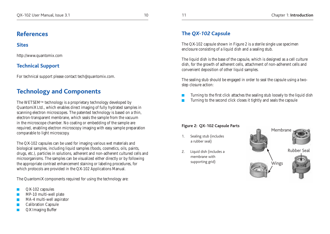## **References**

## **Sites**

http://www.quantomix.com

## **Technical Support**

For technical support please contact tech@quantomix.com.

## **Technology and Components**

The WETSEM<sup>TM</sup> technology is a proprietary technology developed by QuantomiX Ltd., which enables direct imaging of fully hydrated samples in scanning electron microscopes. The patented technology is based on a thin, electron-transparent membrane, which seals the sample from the vacuum in the microscope chamber. No coating or embedding of the sample are required, enabling electron microscopy imaging with easy sample preparation comparable to light microscopy.

The QX-102 capsules can be used for imaging various wet materials and biological samples, including liquid samples (foods, cosmetics, oils, paints, drugs, etc.), particles in solutions, adherent and non-adherent cultured cells and microorganisms. The samples can be visualized either directly or by following the appropriate contrast enhancement staining or labeling procedures, for which protocols are provided in the QX-102 Applications Manual.

The QuantomiX components required for using the technology are:

- QX-102 capsules
- MP-10 multi-well plate
- MA-4 multi-well aspirator
- Calibration Capsule
- QX Imaging Buffer

## **The** *QX-102* **Capsule**

The QX-102 capsule shown in Figure 2 is a sterile single use specimen enclosure consisting of a liquid dish and a sealing stub.

The liquid dish is the base of the capsule, which is designed as a cell culture dish, for the growth of adherent cells, attachment of non-adherent cells and convenient deposition of other liquid samples.

The sealing stub should be engaged in order to seal the capsule using a twostep closure action:

- Turning to the first click attaches the sealing stub loosely to the liquid dish
- Turning to the second click closes it tightly and seals the capsule

## **Figure 2: QX-102 Capsule Parts**

- 1. Sealing stub (includes a rubber seal)
- 2. Liquid dish (includes a membrane with supporting grid)

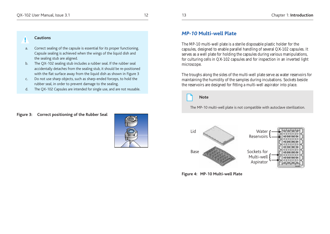## *MP-10* **Multi-well Plate**

The MP-10 multi-well plate is a sterile disposable plastic holder for the capsules, designed to enable parallel handling of several QX-102 capsules. It serves as a well plate for holding the capsules during various manipulations, for culturing cells in QX-102 capsules and for inspection in an inverted light microscope.

The troughs along the sides of the multi-well plate serve as water reservoirs for maintaining the humidity of the samples during incubations. Sockets beside the reservoirs are designed for fitting a multi-well aspirator into place.



## **Note**

The MP-10 multi-well plate is not compatible with autoclave sterilization.



**Figure 4: MP-10 Multi-well Plate**

## **Cautions**

**!**

- a. Correct sealing of the capsule is essential for its proper functioning. Capsule sealing is achieved when the wings of the liquid dish and the sealing stub are aligned.
- b. The QX-102 sealing stub includes a rubber seal. If the rubber seal accidentally detaches from the sealing stub, it should be re-positioned with the flat surface away from the liquid dish as shown in Figure 3
- c. Do not use sharp objects, such as sharp-ended forceps, to hold the rubber seal, in order to prevent damage to the sealing.
- d. The QX-102 Capsules are intended for single use, and are not reusable.

#### **Figure 3: Correct positioning of the Rubber Seal**

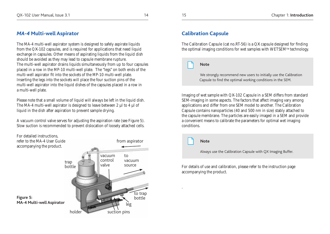## *MA-4* **Multi-well Aspirator**

The MA-4 multi-well aspirator system is designed to safely aspirate liquids from the QX-102 capsules, and is required for applications that need liquid exchange in capsules. Other means of aspirating liquids from the liquid dish should be avoided as they may lead to capsule membrane rupture. The multi-well aspirator drains liquids simultaneously from up to four capsules placed in a row in the MP-10 multi-well plate. The "legs" on both ends of the multi-well aspirator fit into the sockets of the MP-10 multi-well plate. Inserting the legs into the sockets will place the four suction pins of the multi-well aspirator into the liquid dishes of the capsules placed in a row in a multi-well plate.

Please note that a small volume of liquid will always be left in the liquid dish. The MA-4 multi-well aspirator is designed to leave between 2 µl to 4 µl of liquid in the dish after aspiration to prevent sample drying.

A vacuum control valve serves for adjusting the aspiration rate (see Figure 5). Slow suction is recommended to prevent dislocation of loosely attached cells.



## **Calibration Capsule**

The Calibration Capsule (cat no.RT-56) is a QX capsule designed for finding the optimal imaging conditions for wet samples with WETSEMTM technology.

#### **Note**

 We strongly recommend new users to initially use the Calibration Capsule to find the optimal working conditions in the SEM.

Imaging of wet sample with QX-102 Capsule in a SEM differs from standard SEM-imaging in some aspects. The factors that affect imaging vary among applications and differ from one SEM model to another. The Calibration Capsule contains nanoparticles (40 and 500 nm in size) stably attached to the capsule membrane. The particles are easily imaged in a SEM and provide a convenient means to calibrate the parameters for optimal wet imaging conditions.



.

 **Note**

Always use the Calibration Capsule with QX Imaging Buffer.

For details of use and calibration, please refer to the instruction page accompanying the product.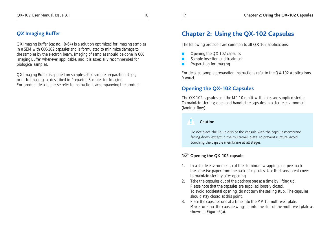## *QX* **Imaging Buffer**

QX Imaging Buffer (cat no. IB-64) is a solution optimized for imaging samples in a SEM with QX-102 capsules and is formulated to minimize damage to the samples by the electron beam. Imaging of samples should be done in QX Imaging Buffer whenever applicable, and it is especially recommended for biological samples.

QX Imaging Buffer is applied on samples after sample preparation steps, prior to imaging, as described in Preparing Samples for Imaging. For product details, please refer to instructions accompanying the product.

## **Chapter 2: Using the QX-102 Capsules**

The following protocols are common to all QX-102 applications:

- Opening the QX-102 capsules
- Sample insertion and treatment
- **Preparation for imaging**

For detailed sample preparation instructions refer to the QX-102 Applications Manual.

## **Opening the QX-102 Capsules**

The QX-102 capsules and the MP-10 multi-well plates are supplied sterile. To maintain sterility, open and handle the capsules in a sterile environment (laminar flow).

#### **! Caution**

Do not place the liquid dish or the capsule with the capsule membrane facing down, except in the multi-well plate. To prevent rupture, avoid touching the capsule membrane at all stages.

## **Opening the QX-102 capsule**

- 1. In a sterile environment, cut the aluminum wrapping and peel back the adhesive paper from the pack of capsules. Use the transparent cover to maintain sterility after opening.
- 2. Take the capsules out of the package one at a time by lifting up. Please note that the capsules are supplied loosely closed. To avoid accidental opening, do not turn the sealing stub. The capsules should stay closed at this point.
- 3. Place the capsules one at a time into the MP-10 multi-well plate. Make sure that the capsule wings fit into the slits of the multi-well plate as shown in Figure 6(a).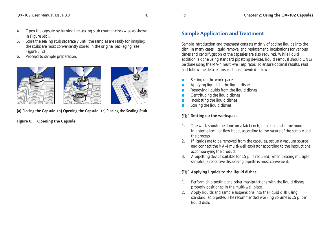- 4. Open the capsule by turning the sealing stub counter-clockwise as shown in Figure 6(b).
- 5. Store the sealing stub separately until the samples are ready for imaging; the stubs are most conveniently stored in the original packaging [see Figure 6 (c)].
- 6. Proceed to sample preparation.



**(a) Placing the Capsule (b) Opening the Capsule (c) Placing the Sealing Stub**

**Figure 6: Opening the Capsule**

## **Sample Application and Treatment**

Sample introduction and treatment consists mainly of adding liquids into the dish; in many cases, liquid removal and replacement, incubations for various times and centrifugation of the capsules are also required. While liquid addition is done using standard pipetting devices, liquid removal should ONLY be done using the MA-4 multi-well aspirator. To ensure optimal results, read and follow the detailed instructions provided below:

- Setting up the workspace
- Applying liquids to the liquid dishes
- **Removing liquids from the liquid dishes**
- $\Box$  Centrifuging the liquid dishes
- Incubating the liquid dishes
- Storing the liquid dishes

## **REP** Setting up the workspace

- 1. The work should be done on a lab bench, in a chemical fume hood or in a sterile laminar flow hood, according to the nature of the sample and the process.
- 2. If liquids are to be removed from the capsules, set up a vacuum source and connect the MA-4 multi-well aspirator according to the instructions accompanying the product.
- 3. A pipetting device suitable for 15 µl is required; when treating multiple samples, a repetitive dispensing pipette is most convenient.

## **Applying liquids to the liquid dishes**

- 1. Perform all pipetting and other manipulations with the liquid dishes properly positioned in the multi-well plate.
- 2. Apply liquids and sample suspensions into the liquid dish using standard lab pipettes. The recommended working volume is 15 µl per liquid dish.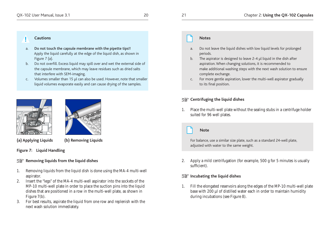#### **Cautions !**<br> **Example 2** Notes

- a. Do not touch the capsule membrane with the pipette tips!! Apply the liquid carefully at the edge of the liquid dish, as shown in Figure 7 (a).
- b. Do not overfill. Excess liquid may spill over and wet the external side of the capsule membrane, which may leave residues such as dried salts that interfere with SEM-imaging.
- c. Volumes smaller than 15 µl can also be used. However, note that smaller liquid volumes evaporate easily and can cause drying of the samples.





**(a) Applying Liquids (b) Removing Liquids**

#### **Figure 7: Liquid Handling**

#### **Removing liquids from the liquid dishes**

- 1. Removing liquids from the liquid dish is done using the MA-4 multi-well aspirator.
- 2. Insert the "legs" of the MA-4 multi-well aspirator into the sockets of the MP-10 multi-well plate in order to place the suction pins into the liquid dishes that are positioned in a row in the multi-well plate, as shown in Figure 7(b).
- 3. For best results, aspirate the liquid from one row and replenish with the next wash solution immediately.

- a. Do not leave the liquid dishes with low liquid levels for prolonged periods.
- b. The aspirator is designed to leave 2-4 µl liquid in the dish after aspiration. When changing solutions, it is recommended to make additional washing steps with the next wash solution to ensure complete exchange.
- c. For more gentle aspiration, lower the multi-well aspirator gradually to its final position.

## **TAS** Centrifuging the liquid dishes

1. Place the multi-well plate without the sealing stubs in a centrifuge holder suited for 96 well plates.

## **Note**

For balance, use a similar size plate, such as a standard 24-well plate, adjusted with water to the same weight.

2. Apply a mild centrifugation (for example, 500 g for 5 minutes is usually sufficient).

## **Incubating the liquid dishes**

1. Fill the elongated reservoirs along the edges of the MP-10 multi-well plate base with 200 µl of distilled water each in order to maintain humidity during incubations (see Figure 8).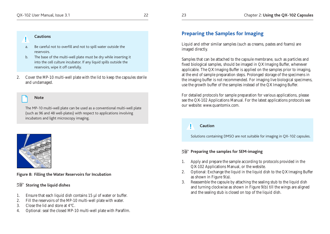## QX-102 User Manual, Issue 3.1 22 23 Chapter 2: **Using the QX-102 Capsules**

## **! Cautions**

- a. Be careful not to overfill and not to spill water outside the reservoirs.
- b. The base of the multi-well plate must be dry while inserting it into the cell culture incubator. If any liquid spills outside the reservoirs, wipe it off carefully.
- 2. Cover the MP-10 multi-well plate with the lid to keep the capsules sterile and undamaged.

#### **Note**

The MP-10 multi-well plate can be used as a conventional multi-well plate (such as 96 and 48 well-plates) with respect to applications involving incubators and light microscopy imaging.



#### **Figure 8: Filling the Water Reservoirs for Incubation**

## **Storing the liquid dishes**

- 1. Ensure that each liquid dish contains 15 µl of water or buffer.
- 2. Fill the reservoirs of the MP-10 multi-well plate with water.
- 3. Close the lid and store at 4°C.
- 4. Optional: seal the closed MP-10 multi-well plate with Parafilm.

## **Preparing the Samples for Imaging**

Liquid and other similar samples (such as creams, pastes and foams) are imaged directly.

Samples that can be attached to the capsule membrane, such as particles and fixed biological samples, should be imaged in QX Imaging Buffer, whenever applicable. The QX Imaging Buffer is applied on the samples prior to imaging, at the end of sample preparation steps. Prolonged storage of the specimens in the imaging buffer is not recommended. For imaging live biological specimens, use the growth buffer of the samples instead of the QX Imaging Buffer.

For detailed protocols for sample preparation for various applications, please see the QX-102 Applications Manual. For the latest applications protocols see our website: www.quantomix.com.

## **Caution**

**!**

Solutions containing DMSO are not suitable for imaging in QX-102 capsules.

## **Preparing the samples for SEM-imaging**

- 1. Apply and prepare the sample according to protocols provided in the QX-102 Applications Manual, or the website.
- 2. Optional: Exchange the liquid in the liquid dish to the QX Imaging Buffer as shown in Figure 9(a).
- 3. Reassemble the capsule by attaching the sealing stub to the liquid dish and turning clockwise as shown in Figure 9(b) till the wings are aligned and the sealing stub is closed on top of the liquid dish.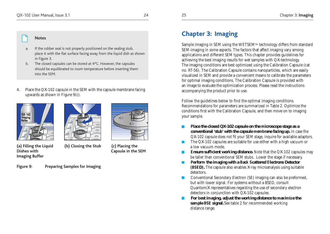#### **Notes**

- If the rubber seal is not properly positioned on the sealing stub, place it with the flat surface facing away from the liquid dish as shown in Figure 3.
- The closed capsules can be stored at 4°C. However, the capsules should be equilibrated to room temperature before inserting them into the SEM.
- 4. Place the QX-102 capsule in the SEM with the capsule membrane facing upwards as shown in Figure 9(c).





**Imaging Buffer** 

**(a) Filling the Liquid (b) Closing the Stub (c) Placing the Dishes with Capsule in the SEM** 

**Figure 9: Preparing Samples for Imaging**



## **Chapter 3: Imaging**

Sample imaging in SEM using the WETSEMTM technology differs from standard SEM-imaging in some aspects. The factors that affect imaging vary among applications and different SEM types. This chapter provides guidelines for achieving the best imaging results for wet samples with QX-technology. The imaging conditions are best optimized using the Calibration Capsule (cat no. RT-56). The Calibration Capsule contains nanoparticles, which are easily visualized in SEM and provide a convenient means to calibrate the parameters for optimal imaging conditions. The Calibration Capsule is provided with an image to evaluate the optimization process. Please read the instructions accompanying the product prior to use.

Follow the guidelines below to find the optimal imaging conditions. Recommendations for parameters are summarized in Table 2. Optimize the conditions first with the Calibration Capsule, and then move on to imaging your sample.

- **Place the closed QX-102 capsule on the microscope stage as a conventional 'stub' with the capsule membrane facing up.** In case the QX-102 capsule does not fit your SEM stage, inquire for available adaptors.
- The QX-102 capsules are suitable for use either with a high vacuum or a low vacuum mode.
- **Ensure sufficient working distance.** Note that the QX-102 capsules may be taller than conventional SEM stubs. Lower the stage if necessary.
- **Perform the imaging with a Back Scattered Electrons Detector (BSED).** The capsule also enables X-ray microanalysis using suitable detectors.
- Conventional Secondary Electron (SE) imaging can also be preformed, but with lower signal. For systems without a BSED, consult QuantomiX representatives regarding the use of secondary electron detectors in conjunction with QX-102 capsules.
- **For best imaging, adjust the working distance to maximize the sample BSE signal.** See table 2 for recommended working distance range.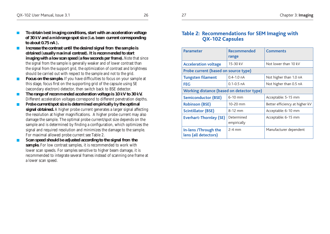- **To obtain best imaging conditions, start with an acceleration voltage of 30 kV and a mid-range spot size (i.e. beam current corresponding to about 0.75 nA ).**
- **Increase the contrast until the desired signal from the sample is obtained (usually maximal contrast). It is recommended to start imaging with a low scan speed (a few seconds per frame).** Note that since the signal from the sample is generally weaker and of lower contrast than the signal from the support grid, the optimization of contrast and brightness should be carried out with respect to the sample and not to the grid.
- **Focus on the sample.** If you have difficulties to focus on your sample at this stage, focus first on the supporting grid of the capsule using SE (secondary electron) detector, then switch back to BSE detector.
- The range of recommended acceleration voltage is 10 kV to 30 kV. Different acceleration voltages correspond to different penetration depths.
- **Probe current/spot size is determined empirically by the optimal signal obtained.** A higher probe current generates a larger signal affecting the resolution at higher magnifications. A higher probe current may also damage the sample. The optimal probe current/spot size depends on the sample and is determined by finding a configuration, which optimizes the signal and required resolution and minimizes the damage to the sample. For maximal allowed probe current see Table 2.
- **Scan speed should be adjusted according to the signal from the sample.** For low contrast samples, it is recommended to work with lower scan speeds. For samples sensitive to higher beam damage, it is recommended to integrate several frames instead of scanning one frame at a lower scan speed.

## **Table 2: Recommendations for SEM Imaging with QX-102 Capsules**

| <b>Parameter</b>                             | Recommended<br>range      | <b>Comments</b>                |  |  |
|----------------------------------------------|---------------------------|--------------------------------|--|--|
| <b>Acceleration voltage</b>                  | 15-30 kV                  | Not lower than 10 kV           |  |  |
| Probe current (based on source type)         |                           |                                |  |  |
| <b>Tungsten filament</b>                     | $0.4 - 1.0$ nA            | Not higher than 1.0 nA         |  |  |
| <b>FEG</b>                                   | $0.1 - 0.5$ nA            | Not higher than 0.5 nA         |  |  |
| Working distance (based on detector type)    |                           |                                |  |  |
| <b>Semiconductor (BSE)</b>                   | $6-10$ mm                 | Acceptable: 5-15 mm            |  |  |
| <b>Robinson (BSE)</b>                        | 10-20 mm                  | Better efficiency at higher kV |  |  |
| <b>Scintillator (BSE)</b>                    | $8-12$ mm                 | Acceptable: 6-10 mm            |  |  |
| <b>Everhart-Thornley (SE)</b>                | Determined<br>empirically | Acceptable: 6-15 mm            |  |  |
| In-lens /Through the<br>lens (all detectors) | $2-4$ mm                  | Manufacturer dependent         |  |  |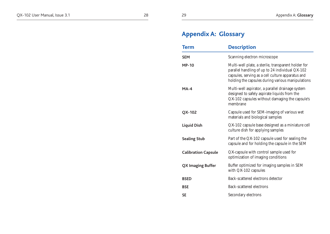# **Appendix A: Glossary**

| <b>Term</b>                | <b>Description</b>                                                                                                                                                                                               |  |
|----------------------------|------------------------------------------------------------------------------------------------------------------------------------------------------------------------------------------------------------------|--|
| <b>SEM</b>                 | Scanning electron microscope                                                                                                                                                                                     |  |
| <b>MP-10</b>               | Multi-well plate, a sterile, transparent holder for<br>parallel handling of up to 24 individual QX-102<br>capsules, serving as a cell culture apparatus and<br>holding the capsules during various manipulations |  |
| $MA-4$                     | Multi-well aspirator, a parallel drainage system<br>designed to safely aspirate liquids from the<br>QX-102 capsules without damaging the capsule's<br>membrane                                                   |  |
| QX-102                     | Capsule used for SEM-imaging of various wet<br>materials and biological samples                                                                                                                                  |  |
| <b>Liquid Dish</b>         | QX-102 capsule base designed as a miniature cell<br>culture dish for applying samples                                                                                                                            |  |
| <b>Sealing Stub</b>        | Part of the QX-102 capsule used for sealing the<br>capsule and for holding the capsule in the SEM                                                                                                                |  |
| <b>Calibration Capsule</b> | QX-capsule with control sample used for<br>optimization of imaging conditions                                                                                                                                    |  |
| <b>QX Imaging Buffer</b>   | Buffer optimized for imaging samples in SEM<br>with QX-102 capsules                                                                                                                                              |  |
| <b>BSED</b>                | Back-scattered electrons detector                                                                                                                                                                                |  |
| <b>BSE</b>                 | Back-scattered electrons                                                                                                                                                                                         |  |
| <b>SE</b>                  | Secondary electrons                                                                                                                                                                                              |  |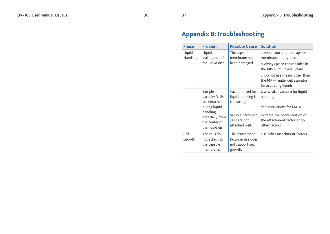31

## **Appendix B: Troubleshooting**

| <b>Phase</b>                                      | Problem                                                                                                                         | <b>Possible Cause</b>                                               | <b>Solution</b>                                                                            |
|---------------------------------------------------|---------------------------------------------------------------------------------------------------------------------------------|---------------------------------------------------------------------|--------------------------------------------------------------------------------------------|
| Liquid is<br>Liquid<br>Handling<br>leaking out of | The capsule<br>membrane has                                                                                                     | a. Avoid touching the capsule<br>membrane at any time.              |                                                                                            |
|                                                   | the liquid dish.                                                                                                                | been damaged.                                                       | b. Always place the capsules in<br>the MP-10 multi-well plate.                             |
|                                                   |                                                                                                                                 |                                                                     | c. Do not use means other than<br>the MA-4 multi-well aspirator<br>for aspirating liquids. |
|                                                   | Sample<br>particles/cells<br>are detached<br>during liquid<br>handling,<br>especially from<br>the center of<br>the liquid dish. | Vacuum used for<br>liquid handling is<br>too strong.                | Use weaker vacuum for liquid<br>handling.<br>See Instructions for MA-4.                    |
|                                                   |                                                                                                                                 | Sample particles/<br>cells are not<br>attached well.                | Increase the concentration of<br>the attachment factor or try<br>other factors.            |
| Cell<br>Growth                                    | The cells do<br>not attach to<br>the capsule<br>membrane.                                                                       | The attachment<br>factor in use does<br>not support cell<br>growth. | Use other attachment factors.                                                              |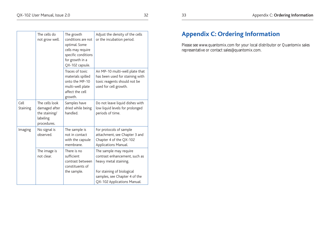|                  | The cells do<br>not grow well.                                              | The growth<br>conditions are not<br>optimal. Some<br>cells may require<br>specific conditions<br>for growth in a<br>QX-102 capsule. | Adjust the density of the cells<br>or the incubation period.                                                                                                                   |
|------------------|-----------------------------------------------------------------------------|-------------------------------------------------------------------------------------------------------------------------------------|--------------------------------------------------------------------------------------------------------------------------------------------------------------------------------|
|                  |                                                                             | Traces of toxic<br>materials spilled<br>onto the MP-10<br>multi-well plate<br>affect the cell<br>growth.                            | An MP-10 multi-well plate that<br>has been used for staining with<br>toxic reagents should not be<br>used for cell growth.                                                     |
| Cell<br>Staining | The cells look<br>damaged after<br>the staining/<br>labeling<br>procedures. | Samples have<br>dried while being<br>handled.                                                                                       | Do not leave liquid dishes with<br>low liquid levels for prolonged<br>periods of time.                                                                                         |
| Imaging          | No signal is<br>observed.                                                   | The sample is<br>not in contact<br>with the capsule<br>membrane.                                                                    | For protocols of sample<br>attachment, see Chapter 3 and<br>Chapter 4 of the QX-102<br>Applications Manual.                                                                    |
|                  | The image is<br>not clear.                                                  | There is no<br>sufficient<br>contrast between<br>constituents of<br>the sample.                                                     | The sample may require<br>contrast enhancement, such as<br>heavy metal staining.<br>For staining of biological<br>samples, see Chapter 4 of the<br>QX-102 Applications Manual. |

## **Appendix C: Ordering Information**

Please see www.quantomix.com for your local distributor or Quantomix sales representative or contact sales@quantomix.com.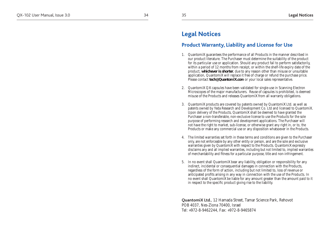## **L e gal Not i ces**

## **Product Warranty, Liability and License for Use**

- 1. Quantomi X guarantees the performance of all Products in the manner described in our product literature. The Purchaser must determine the suitability of the product for its particular use or application. Should any product fail to perform satisfactorily, within a period of 12 months from receipt, or within the shelf-life expiry date of the product, **whichever is shorter**, due to any reason other than misuse or unsuitable application, Quantomi X will replace it free of charge or refund the purchase price. Please contact **tech @Quanto mi X.co m** or your local sales representative.
- 2. Quantomi X Q X capsules have been validated for single-use in Scanning Electron Microscopes of the major manufacturers. Reuse of capsules is prohibited, is deemed misuse of the Products and releases Quantomi X from all warranty obligations.
- 3. Quantomi X products are covered by patents owned by Quantomi X Ltd. as well as patents owned by Yeda Research and Development Co. Ltd and licensed to Quantomi X. Upon delivery of the Products, Quantomi X shall be deemed to have granted the Purchaser a non-transferable, non-exclusive license to use the Products for the sole purpose of performing research and development applications. The Purchaser will not have the right to market, sub-license, or otherwise grant any right in, or to, the Products or make any commercial use or any disposition whatsoever in the Products.
- 4. The limited warranties set forth in these terms and conditions are given to the Purchaser only, are not enforceable by any other entity or person, and are the sole and exclusive warranties given by QuantomiX with respect to the Products. QuantomiX expressly disclaims any and all implied warranties, including but not limited to, implied warranties of merchantability and fitness for a particular purpose, title and non-infringement.
- 5. In no event shall Quantomi X bear any liability, obligation or responsibility for any indirect, incidental or consequential damages in connection with the Products, regardless of the form of action, including but not limited to, loss of revenue or anticipated profits arising in any way in connection with the use of the Products. In no event shall Quantomi X be liable for any amount greater than the amount paid to it in respect to the specific product giving rise to the liability.

**Quantom iX Ltd .**, 12 Hamada Street, Tamar Science Park, Rehovot POB 4037, Nes-Ziona 70400, Israel Tel: +972-8-9462244, Fax: +972-8-9465874

3 5